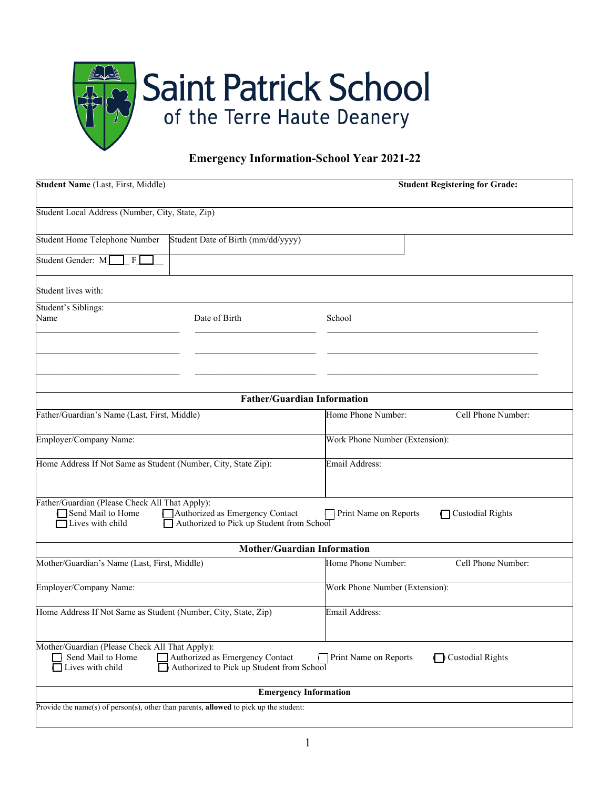

## **Emergency Information-School Year 2021-22**

| Student Name (Last, First, Middle)                                                             |                                                                              | <b>Student Registering for Grade:</b>     |
|------------------------------------------------------------------------------------------------|------------------------------------------------------------------------------|-------------------------------------------|
| Student Local Address (Number, City, State, Zip)                                               |                                                                              |                                           |
| Student Home Telephone Number                                                                  | Student Date of Birth (mm/dd/yyyy)                                           |                                           |
| Student Gender: M<br> F                                                                        |                                                                              |                                           |
| Student lives with:                                                                            |                                                                              |                                           |
| Student's Siblings:<br>Name                                                                    | Date of Birth                                                                | School                                    |
|                                                                                                |                                                                              |                                           |
|                                                                                                | <b>Father/Guardian Information</b>                                           |                                           |
| Father/Guardian's Name (Last, First, Middle)                                                   |                                                                              | Home Phone Number:<br>Cell Phone Number:  |
| Employer/Company Name:                                                                         |                                                                              | Work Phone Number (Extension):            |
| Home Address If Not Same as Student (Number, City, State Zip):                                 |                                                                              | <b>Email Address:</b>                     |
| Father/Guardian (Please Check All That Apply):<br>Send Mail to Home<br>Lives with child        | Authorized as Emergency Contact<br>Authorized to Pick up Student from School | Print Name on Reports<br>Custodial Rights |
|                                                                                                | <b>Mother/Guardian Information</b>                                           |                                           |
| Mother/Guardian's Name (Last, First, Middle)                                                   |                                                                              | Home Phone Number:<br>Cell Phone Number:  |
| Employer/Company Name:                                                                         |                                                                              | Work Phone Number (Extension):            |
| Home Address If Not Same as Student (Number, City, State, Zip)                                 |                                                                              | Email Address:                            |
| Mother/Guardian (Please Check All That Apply):<br>Send Mail to Home<br>$\Box$ Lives with child | Authorized as Emergency Contact<br>Authorized to Pick up Student from School | Custodial Rights<br>Print Name on Reports |
|                                                                                                | <b>Emergency Information</b>                                                 |                                           |
| Provide the name(s) of person(s), other than parents, allowed to pick up the student:          |                                                                              |                                           |